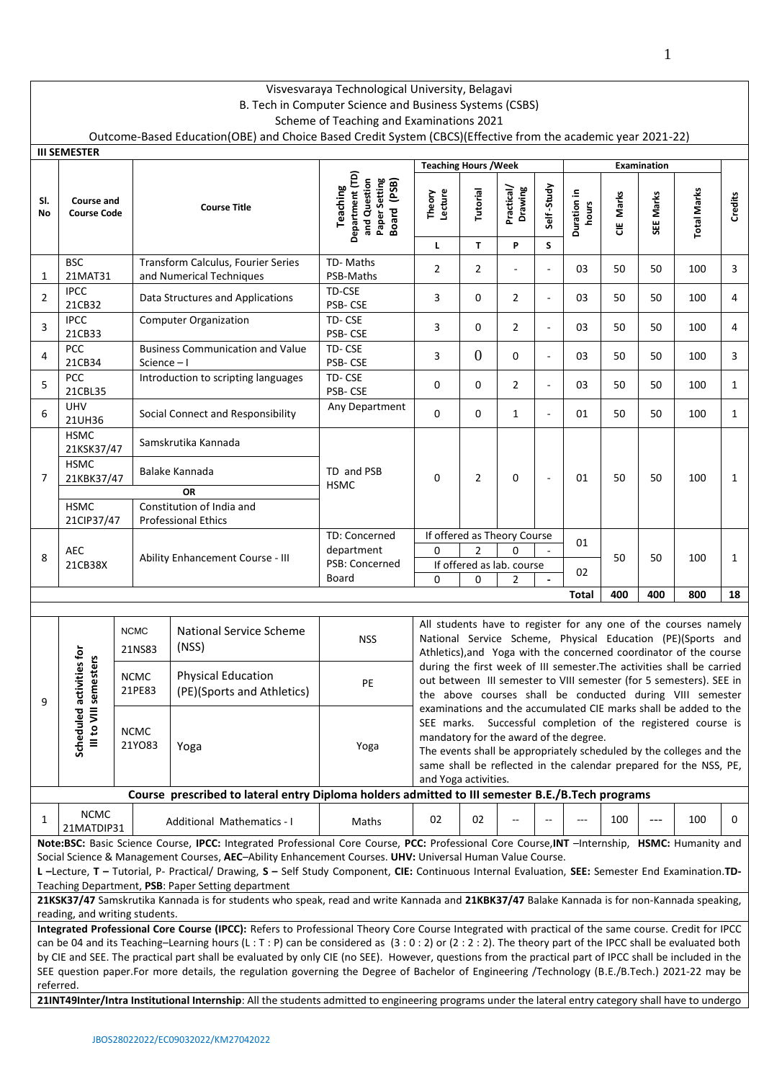# Visvesvaraya Technological University, Belagavi

# B. Tech in Computer Science and Business Systems (CSBS)

Scheme of Teaching and Examinations 2021

Outcome-Based Education(OBE) and Choice Based Credit System (CBCS)(Effective from the academic year 2021-22)

|                | <b>III SEMESTER</b>                                                   |  |                       |                                                                                                                                                                                                                                                                                                                                                                                                                                                              |                                                                                    |                                                                                                                                                                                                                                                                                                                                                |                |                                                               |                             |                      |           |             |                                                                                                                                                                                                            |              |
|----------------|-----------------------------------------------------------------------|--|-----------------------|--------------------------------------------------------------------------------------------------------------------------------------------------------------------------------------------------------------------------------------------------------------------------------------------------------------------------------------------------------------------------------------------------------------------------------------------------------------|------------------------------------------------------------------------------------|------------------------------------------------------------------------------------------------------------------------------------------------------------------------------------------------------------------------------------------------------------------------------------------------------------------------------------------------|----------------|---------------------------------------------------------------|-----------------------------|----------------------|-----------|-------------|------------------------------------------------------------------------------------------------------------------------------------------------------------------------------------------------------------|--------------|
|                |                                                                       |  |                       |                                                                                                                                                                                                                                                                                                                                                                                                                                                              |                                                                                    | <b>Teaching Hours / Week</b>                                                                                                                                                                                                                                                                                                                   |                |                                                               |                             |                      |           | Examination |                                                                                                                                                                                                            |              |
| SI.<br>No      | Course and<br><b>Course Code</b>                                      |  |                       | <b>Course Title</b>                                                                                                                                                                                                                                                                                                                                                                                                                                          | Department (TD)<br>and Question<br>Paper Setting<br>Board (PSB)<br><b>Teaching</b> | Lecture<br>Theory                                                                                                                                                                                                                                                                                                                              | Tutorial       | Practical/<br>Drawing                                         | Self-Study                  | Duration in<br>hours | CIE Marks | SEE Marks   | <b>Total Marks</b>                                                                                                                                                                                         | Credits      |
|                |                                                                       |  |                       |                                                                                                                                                                                                                                                                                                                                                                                                                                                              |                                                                                    | L                                                                                                                                                                                                                                                                                                                                              | $\mathbf{T}$   | P                                                             | S                           |                      |           |             |                                                                                                                                                                                                            |              |
| 1              | <b>BSC</b><br>21MAT31                                                 |  |                       | Transform Calculus, Fourier Series<br>and Numerical Techniques                                                                                                                                                                                                                                                                                                                                                                                               | TD-Maths<br>PSB-Maths                                                              | $\overline{2}$                                                                                                                                                                                                                                                                                                                                 | $\overline{2}$ | ÷,                                                            |                             | 03                   | 50        | 50          | 100                                                                                                                                                                                                        | 3            |
| 2              | <b>IPCC</b><br>21CB32                                                 |  |                       | Data Structures and Applications                                                                                                                                                                                                                                                                                                                                                                                                                             | TD-CSE<br>PSB-CSE                                                                  | 3                                                                                                                                                                                                                                                                                                                                              | 0              | 2                                                             | $\overline{\phantom{a}}$    | 03                   | 50        | 50          | 100                                                                                                                                                                                                        | 4            |
| 3              | <b>IPCC</b><br>21CB33                                                 |  |                       | <b>Computer Organization</b>                                                                                                                                                                                                                                                                                                                                                                                                                                 | TD-CSE<br>PSB-CSE                                                                  | 3                                                                                                                                                                                                                                                                                                                                              | $\mathbf 0$    | $\overline{2}$                                                | $\mathcal{L}_{\mathcal{A}}$ | 03                   | 50        | 50          | 100                                                                                                                                                                                                        | 4            |
| 4              | PCC<br>21CB34                                                         |  | Science $-1$          | <b>Business Communication and Value</b>                                                                                                                                                                                                                                                                                                                                                                                                                      | TD-CSE<br>PSB-CSE                                                                  | 3                                                                                                                                                                                                                                                                                                                                              | $\overline{0}$ | 0                                                             | $\overline{\phantom{a}}$    | 03                   | 50        | 50          | 100                                                                                                                                                                                                        | 3            |
| 5              | PCC<br>21CBL35                                                        |  |                       | Introduction to scripting languages                                                                                                                                                                                                                                                                                                                                                                                                                          | TD-CSE<br>PSB-CSE                                                                  | 0                                                                                                                                                                                                                                                                                                                                              | $\mathbf 0$    | $\overline{2}$                                                | $\sim$                      | 03                   | 50        | 50          | 100                                                                                                                                                                                                        | $\mathbf{1}$ |
| 6              | <b>UHV</b><br>21UH36                                                  |  |                       | Social Connect and Responsibility                                                                                                                                                                                                                                                                                                                                                                                                                            | Any Department                                                                     | 0                                                                                                                                                                                                                                                                                                                                              | $\mathbf 0$    | $\mathbf{1}$                                                  | $\overline{\phantom{a}}$    | 01                   | 50        | 50          | 100                                                                                                                                                                                                        | $\mathbf{1}$ |
|                | <b>HSMC</b><br>21KSK37/47<br><b>HSMC</b><br>21KBK37/47<br><b>HSMC</b> |  |                       | Samskrutika Kannada<br>Balake Kannada                                                                                                                                                                                                                                                                                                                                                                                                                        | TD and PSB                                                                         |                                                                                                                                                                                                                                                                                                                                                |                |                                                               |                             |                      |           | 50          | 100                                                                                                                                                                                                        |              |
| $\overline{7}$ |                                                                       |  |                       | <b>OR</b><br>Constitution of India and                                                                                                                                                                                                                                                                                                                                                                                                                       | <b>HSMC</b>                                                                        | 0                                                                                                                                                                                                                                                                                                                                              | $\overline{2}$ | 0                                                             |                             | 01                   | 50        |             |                                                                                                                                                                                                            | 1            |
|                | 21CIP37/47                                                            |  |                       | <b>Professional Ethics</b>                                                                                                                                                                                                                                                                                                                                                                                                                                   |                                                                                    |                                                                                                                                                                                                                                                                                                                                                |                |                                                               |                             |                      |           |             |                                                                                                                                                                                                            |              |
| 8              | <b>AEC</b><br>21CB38X                                                 |  |                       | Ability Enhancement Course - III                                                                                                                                                                                                                                                                                                                                                                                                                             | TD: Concerned<br>department<br>PSB: Concerned                                      | 0                                                                                                                                                                                                                                                                                                                                              | $\overline{2}$ | If offered as Theory Course<br>0<br>If offered as lab. course |                             | 01                   | 50        | 50          | 100                                                                                                                                                                                                        | 1            |
|                |                                                                       |  |                       |                                                                                                                                                                                                                                                                                                                                                                                                                                                              | Board                                                                              | $\Omega$                                                                                                                                                                                                                                                                                                                                       | $\Omega$       | $\overline{2}$                                                |                             | 02                   |           |             |                                                                                                                                                                                                            |              |
|                | 400<br>400<br>800<br>Total<br>18                                      |  |                       |                                                                                                                                                                                                                                                                                                                                                                                                                                                              |                                                                                    |                                                                                                                                                                                                                                                                                                                                                |                |                                                               |                             |                      |           |             |                                                                                                                                                                                                            |              |
|                |                                                                       |  | <b>NCMC</b><br>21NS83 | <b>National Service Scheme</b><br>(NSS)                                                                                                                                                                                                                                                                                                                                                                                                                      | <b>NSS</b>                                                                         |                                                                                                                                                                                                                                                                                                                                                |                |                                                               |                             |                      |           |             | All students have to register for any one of the courses namely<br>National Service Scheme, Physical Education (PE)(Sports and<br>Athletics), and Yoga with the concerned coordinator of the course        |              |
| 9              | activities for<br>semesters                                           |  | <b>NCMC</b><br>21PE83 | <b>Physical Education</b><br>(PE)(Sports and Athletics)                                                                                                                                                                                                                                                                                                                                                                                                      | PE                                                                                 |                                                                                                                                                                                                                                                                                                                                                |                |                                                               |                             |                      |           |             | during the first week of III semester. The activities shall be carried<br>out between III semester to VIII semester (for 5 semesters). SEE in<br>the above courses shall be conducted during VIII semester |              |
|                | $\equiv$<br>Scheduled<br>Ill to VI                                    |  | <b>NCMC</b><br>21YO83 | Yoga                                                                                                                                                                                                                                                                                                                                                                                                                                                         | Yoga                                                                               | examinations and the accumulated CIE marks shall be added to the<br>SEE marks. Successful completion of the registered course is<br>mandatory for the award of the degree.<br>The events shall be appropriately scheduled by the colleges and the<br>same shall be reflected in the calendar prepared for the NSS, PE,<br>and Yoga activities. |                |                                                               |                             |                      |           |             |                                                                                                                                                                                                            |              |
|                |                                                                       |  |                       | Course prescribed to lateral entry Diploma holders admitted to III semester B.E./B.Tech programs                                                                                                                                                                                                                                                                                                                                                             |                                                                                    |                                                                                                                                                                                                                                                                                                                                                |                |                                                               |                             |                      |           |             |                                                                                                                                                                                                            |              |
| 1              | <b>NCMC</b><br>21MATDIP31                                             |  |                       | Additional Mathematics - I                                                                                                                                                                                                                                                                                                                                                                                                                                   | Maths                                                                              | 02                                                                                                                                                                                                                                                                                                                                             | 02             |                                                               |                             | ---                  | 100       | $---$       | 100                                                                                                                                                                                                        | 0            |
|                |                                                                       |  |                       | Note:BSC: Basic Science Course, IPCC: Integrated Professional Core Course, PCC: Professional Core Course, INT -Internship, HSMC: Humanity and                                                                                                                                                                                                                                                                                                                |                                                                                    |                                                                                                                                                                                                                                                                                                                                                |                |                                                               |                             |                      |           |             |                                                                                                                                                                                                            |              |
|                |                                                                       |  |                       | Social Science & Management Courses, AEC-Ability Enhancement Courses. UHV: Universal Human Value Course.<br>L-Lecture, T - Tutorial, P- Practical/ Drawing, S - Self Study Component, CIE: Continuous Internal Evaluation, SEE: Semester End Examination.TD-<br>Teaching Department, PSB: Paper Setting department                                                                                                                                           |                                                                                    |                                                                                                                                                                                                                                                                                                                                                |                |                                                               |                             |                      |           |             |                                                                                                                                                                                                            |              |
|                | reading, and writing students.                                        |  |                       | 21KSK37/47 Samskrutika Kannada is for students who speak, read and write Kannada and 21KBK37/47 Balake Kannada is for non-Kannada speaking,                                                                                                                                                                                                                                                                                                                  |                                                                                    |                                                                                                                                                                                                                                                                                                                                                |                |                                                               |                             |                      |           |             |                                                                                                                                                                                                            |              |
|                |                                                                       |  |                       | Integrated Professional Core Course (IPCC): Refers to Professional Theory Core Course Integrated with practical of the same course. Credit for IPCC                                                                                                                                                                                                                                                                                                          |                                                                                    |                                                                                                                                                                                                                                                                                                                                                |                |                                                               |                             |                      |           |             |                                                                                                                                                                                                            |              |
|                |                                                                       |  |                       | can be 04 and its Teaching-Learning hours (L: T: P) can be considered as (3:0:2) or (2:2:2). The theory part of the IPCC shall be evaluated both<br>by CIE and SEE. The practical part shall be evaluated by only CIE (no SEE). However, questions from the practical part of IPCC shall be included in the<br>SEE question paper.For more details, the regulation governing the Degree of Bachelor of Engineering /Technology (B.E./B.Tech.) 2021-22 may be |                                                                                    |                                                                                                                                                                                                                                                                                                                                                |                |                                                               |                             |                      |           |             |                                                                                                                                                                                                            |              |
| referred.      |                                                                       |  |                       |                                                                                                                                                                                                                                                                                                                                                                                                                                                              |                                                                                    |                                                                                                                                                                                                                                                                                                                                                |                |                                                               |                             |                      |           |             |                                                                                                                                                                                                            |              |
|                |                                                                       |  |                       | 21INT49Inter/Intra Institutional Internship: All the students admitted to engineering programs under the lateral entry category shall have to undergo                                                                                                                                                                                                                                                                                                        |                                                                                    |                                                                                                                                                                                                                                                                                                                                                |                |                                                               |                             |                      |           |             |                                                                                                                                                                                                            |              |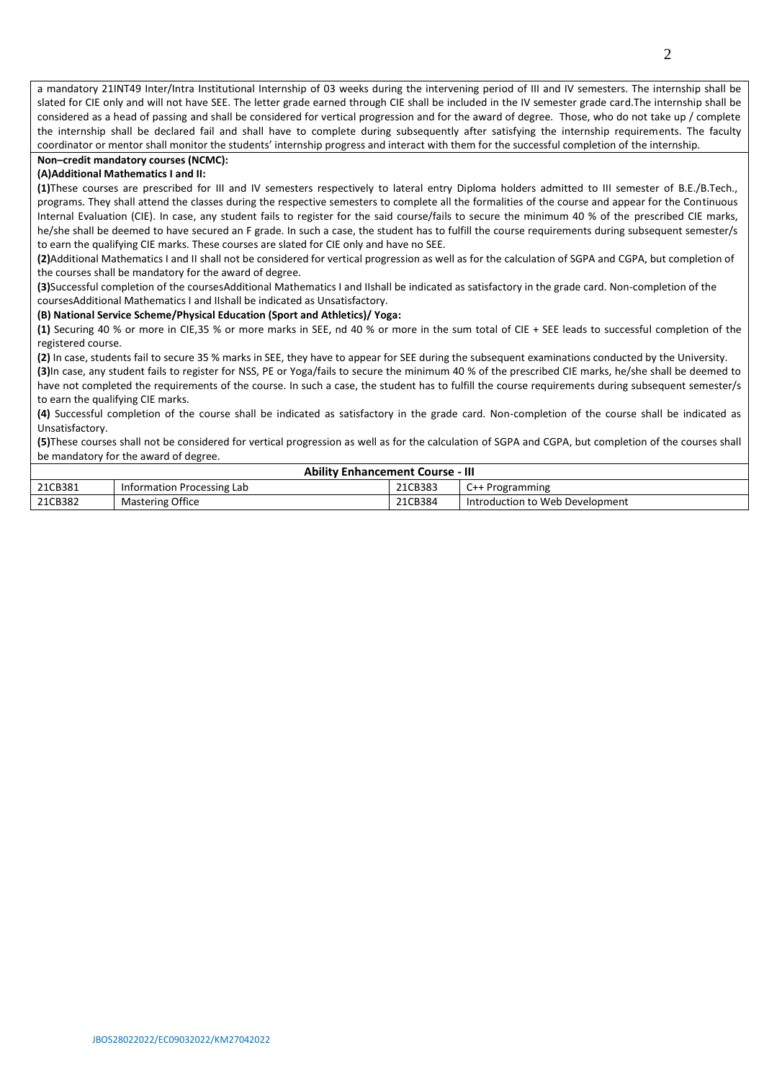a mandatory 21INT49 Inter/Intra Institutional Internship of 03 weeks during the intervening period of III and IV semesters. The internship shall be slated for CIE only and will not have SEE. The letter grade earned through CIE shall be included in the IV semester grade card.The internship shall be considered as a head of passing and shall be considered for vertical progression and for the award of degree. Those, who do not take up / complete the internship shall be declared fail and shall have to complete during subsequently after satisfying the internship requirements. The faculty coordinator or mentor shall monitor the students' internship progress and interact with them for the successful completion of the internship.

# **Non–credit mandatory courses (NCMC):**

## **(A)Additional Mathematics I and II:**

**(1)**These courses are prescribed for III and IV semesters respectively to lateral entry Diploma holders admitted to III semester of B.E./B.Tech., programs. They shall attend the classes during the respective semesters to complete all the formalities of the course and appear for the Continuous Internal Evaluation (CIE). In case, any student fails to register for the said course/fails to secure the minimum 40 % of the prescribed CIE marks, he/she shall be deemed to have secured an F grade. In such a case, the student has to fulfill the course requirements during subsequent semester/s to earn the qualifying CIE marks. These courses are slated for CIE only and have no SEE.

**(2)**Additional Mathematics I and II shall not be considered for vertical progression as well as for the calculation of SGPA and CGPA, but completion of the courses shall be mandatory for the award of degree.

**(3)**Successful completion of the coursesAdditional Mathematics I and IIshall be indicated as satisfactory in the grade card. Non-completion of the coursesAdditional Mathematics I and IIshall be indicated as Unsatisfactory.

#### **(B) National Service Scheme/Physical Education (Sport and Athletics)/ Yoga:**

**(1)** Securing 40 % or more in CIE,35 % or more marks in SEE, nd 40 % or more in the sum total of CIE + SEE leads to successful completion of the registered course.

**(2)** In case, students fail to secure 35 % marks in SEE, they have to appear for SEE during the subsequent examinations conducted by the University. **(3)**In case, any student fails to register for NSS, PE or Yoga/fails to secure the minimum 40 % of the prescribed CIE marks, he/she shall be deemed to have not completed the requirements of the course. In such a case, the student has to fulfill the course requirements during subsequent semester/s to earn the qualifying CIE marks.

**(4)** Successful completion of the course shall be indicated as satisfactory in the grade card. Non-completion of the course shall be indicated as Unsatisfactory.

**(5)**These courses shall not be considered for vertical progression as well as for the calculation of SGPA and CGPA, but completion of the courses shall be mandatory for the award of degree.

| <b>Ability Enhancement Course - III</b> |                            |         |                                 |  |  |  |  |  |  |  |
|-----------------------------------------|----------------------------|---------|---------------------------------|--|--|--|--|--|--|--|
| 21CB381                                 | Information Processing Lab | 21CB383 | C++ Programming                 |  |  |  |  |  |  |  |
| 21CB382                                 | <b>Mastering Office</b>    | 21CB384 | Introduction to Web Development |  |  |  |  |  |  |  |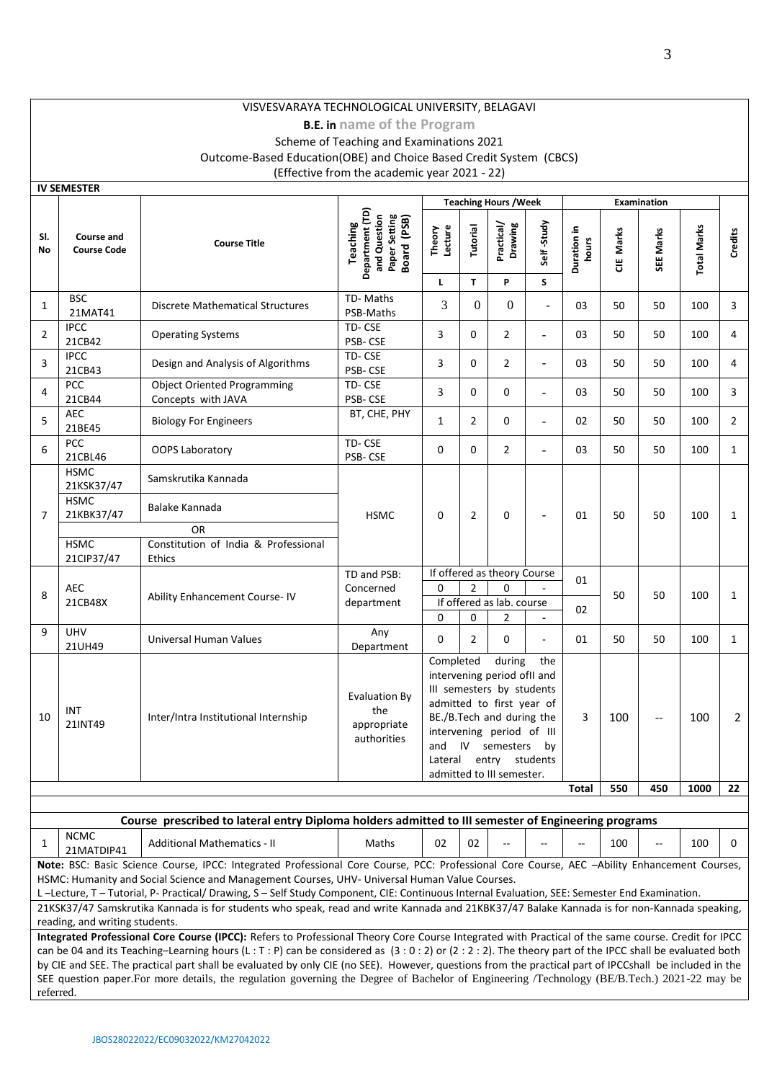# VISVESVARAYA TECHNOLOGICAL UNIVERSITY, BELAGAVI

# **B.E. in name of the Program**

# Scheme of Teaching and Examinations 2021 Outcome-Based Education(OBE) and Choice Based Credit System (CBCS) (Effective from the academic year 2021 - 22)

|                | IV SEIVIESTER<br><b>Teaching Hours / Week</b><br>Examination |                                                                                                                                                                                                                                                                                                                                                                                            |                                                                             |                                                                                                                                                                                                                                                                                         |                                                                                                  |                            |                          |                         |              |                          |                    |                |
|----------------|--------------------------------------------------------------|--------------------------------------------------------------------------------------------------------------------------------------------------------------------------------------------------------------------------------------------------------------------------------------------------------------------------------------------------------------------------------------------|-----------------------------------------------------------------------------|-----------------------------------------------------------------------------------------------------------------------------------------------------------------------------------------------------------------------------------------------------------------------------------------|--------------------------------------------------------------------------------------------------|----------------------------|--------------------------|-------------------------|--------------|--------------------------|--------------------|----------------|
| SI.<br>No      | <b>Course and</b><br><b>Course Code</b>                      | <b>Course Title</b>                                                                                                                                                                                                                                                                                                                                                                        | Department (TD)<br>Paper Setting<br>Board (PSB)<br>and Question<br>Teaching | Lecture<br>Theory<br>г                                                                                                                                                                                                                                                                  | Tutorial<br>$\mathbf{T}$                                                                         | Practical/<br>Drawing<br>P | Self-Study<br>S          | 르.<br>Duration<br>hours | E Marks<br>ō | SEE Marks                | <b>Total Marks</b> | Credits        |
| $\mathbf{1}$   | <b>BSC</b><br>21MAT41                                        | <b>Discrete Mathematical Structures</b>                                                                                                                                                                                                                                                                                                                                                    | TD-Maths<br>PSB-Maths                                                       | 3                                                                                                                                                                                                                                                                                       | $\Omega$                                                                                         | $\overline{0}$             | $\blacksquare$           | 03                      | 50           | 50                       | 100                | 3              |
| $\overline{2}$ | <b>IPCC</b><br>21CB42                                        | <b>Operating Systems</b>                                                                                                                                                                                                                                                                                                                                                                   | TD-CSE<br>PSB-CSE                                                           | 3                                                                                                                                                                                                                                                                                       | 0                                                                                                | $\overline{2}$             | $\overline{\phantom{a}}$ | 03                      | 50           | 50                       | 100                | 4              |
| 3              | <b>IPCC</b><br>21CB43                                        | Design and Analysis of Algorithms                                                                                                                                                                                                                                                                                                                                                          | TD-CSE<br>PSB-CSE                                                           | 3                                                                                                                                                                                                                                                                                       | $\mathbf{0}$                                                                                     | $\overline{2}$             | $\overline{a}$           | 03                      | 50           | 50                       | 100                | 4              |
| 4              | <b>PCC</b><br>21CB44                                         | <b>Object Oriented Programming</b><br>Concepts with JAVA                                                                                                                                                                                                                                                                                                                                   | TD-CSE<br>PSB-CSE                                                           | 3                                                                                                                                                                                                                                                                                       | 0                                                                                                | 0                          | $\overline{a}$           | 03                      | 50           | 50                       | 100                | 3              |
| 5              | <b>AEC</b><br>21BE45                                         | <b>Biology For Engineers</b>                                                                                                                                                                                                                                                                                                                                                               | BT, CHE, PHY                                                                | 1                                                                                                                                                                                                                                                                                       | $\overline{2}$                                                                                   | 0                          | $\overline{\phantom{a}}$ | 02                      | 50           | 50                       | 100                | $\overline{2}$ |
| 6              | PCC<br>21CBL46                                               | <b>OOPS Laboratory</b>                                                                                                                                                                                                                                                                                                                                                                     | TD-CSE<br>PSB-CSE                                                           | 0                                                                                                                                                                                                                                                                                       | $\mathbf 0$                                                                                      | $\overline{2}$             | $\overline{\phantom{a}}$ | 03                      | 50           | 50                       | 100                | $\mathbf{1}$   |
| 7              | <b>HSMC</b><br>21KSK37/47<br><b>HSMC</b><br>21KBK37/47       | Samskrutika Kannada<br>Balake Kannada                                                                                                                                                                                                                                                                                                                                                      | <b>HSMC</b>                                                                 | 0                                                                                                                                                                                                                                                                                       | $\overline{2}$                                                                                   | 0                          |                          | 01                      | 50           | 50                       | 100                | $\mathbf{1}$   |
|                | <b>HSMC</b><br>21CIP37/47                                    | <b>OR</b><br>Constitution of India & Professional<br><b>Ethics</b>                                                                                                                                                                                                                                                                                                                         |                                                                             |                                                                                                                                                                                                                                                                                         |                                                                                                  |                            |                          |                         |              |                          |                    |                |
| 8              | <b>AEC</b><br>21CB48X                                        | Ability Enhancement Course-IV                                                                                                                                                                                                                                                                                                                                                              | TD and PSB:<br>Concerned<br>department                                      | $\Omega$<br>$\Omega$                                                                                                                                                                                                                                                                    | If offered as theory Course<br>$\overline{2}$<br>$\Omega$<br>If offered as lab. course<br>0<br>2 |                            | ä,                       | 01<br>02                | 50           | 50                       | 100                | $\mathbf{1}$   |
| 9              | <b>UHV</b><br>21UH49                                         | Universal Human Values                                                                                                                                                                                                                                                                                                                                                                     | Any<br>Department                                                           | $\Omega$                                                                                                                                                                                                                                                                                | $\overline{2}$                                                                                   | 0                          |                          | 01                      | 50           | 50                       | 100                | $\mathbf{1}$   |
| 10             | INT<br>21INT49                                               | Inter/Intra Institutional Internship                                                                                                                                                                                                                                                                                                                                                       | <b>Evaluation By</b><br>the<br>appropriate<br>authorities                   | Completed<br>during<br>the<br>intervening period of I and<br>III semesters by students<br>admitted to first year of<br>BE./B.Tech and during the<br>intervening period of III<br>IV <sub>1</sub><br>semesters<br>and<br>by<br>Lateral<br>entry<br>students<br>admitted to III semester. |                                                                                                  |                            |                          | 3                       | 100          | $\overline{\phantom{a}}$ | 100                | $\overline{2}$ |
|                |                                                              |                                                                                                                                                                                                                                                                                                                                                                                            |                                                                             |                                                                                                                                                                                                                                                                                         |                                                                                                  |                            |                          | Total                   | 550          | 450                      | 1000               | 22             |
|                |                                                              |                                                                                                                                                                                                                                                                                                                                                                                            |                                                                             |                                                                                                                                                                                                                                                                                         |                                                                                                  |                            |                          |                         |              |                          |                    |                |
|                |                                                              | Course prescribed to lateral entry Diploma holders admitted to III semester of Engineering programs                                                                                                                                                                                                                                                                                        |                                                                             |                                                                                                                                                                                                                                                                                         |                                                                                                  |                            |                          |                         |              |                          |                    |                |
| 1              | <b>NCMC</b><br>21MATDIP41                                    | <b>Additional Mathematics - II</b>                                                                                                                                                                                                                                                                                                                                                         | Maths                                                                       | 02                                                                                                                                                                                                                                                                                      | 02                                                                                               |                            |                          |                         | 100          | $-$                      | 100                | 0              |
|                |                                                              | Note: BSC: Basic Science Course, IPCC: Integrated Professional Core Course, PCC: Professional Core Course, AEC -Ability Enhancement Courses,<br>HSMC: Humanity and Social Science and Management Courses, UHV- Universal Human Value Courses.<br>L-Lecture, T-Tutorial, P- Practical/ Drawing, S-Self Study Component, CIE: Continuous Internal Evaluation, SEE: Semester End Examination. |                                                                             |                                                                                                                                                                                                                                                                                         |                                                                                                  |                            |                          |                         |              |                          |                    |                |

21KSK37/47 Samskrutika Kannada is for students who speak, read and write Kannada and 21KBK37/47 Balake Kannada is for non-Kannada speaking, reading, and writing students.

**Integrated Professional Core Course (IPCC):** Refers to Professional Theory Core Course Integrated with Practical of the same course. Credit for IPCC can be 04 and its Teaching–Learning hours (L : T : P) can be considered as  $(3:0:2)$  or  $(2:2:2)$ . The theory part of the IPCC shall be evaluated both by CIE and SEE. The practical part shall be evaluated by only CIE (no SEE). However, questions from the practical part of IPCCshall be included in the SEE question paper.For more details, the regulation governing the Degree of Bachelor of Engineering /Technology (BE/B.Tech.) 2021-22 may be referred.

**IV SEMESTER**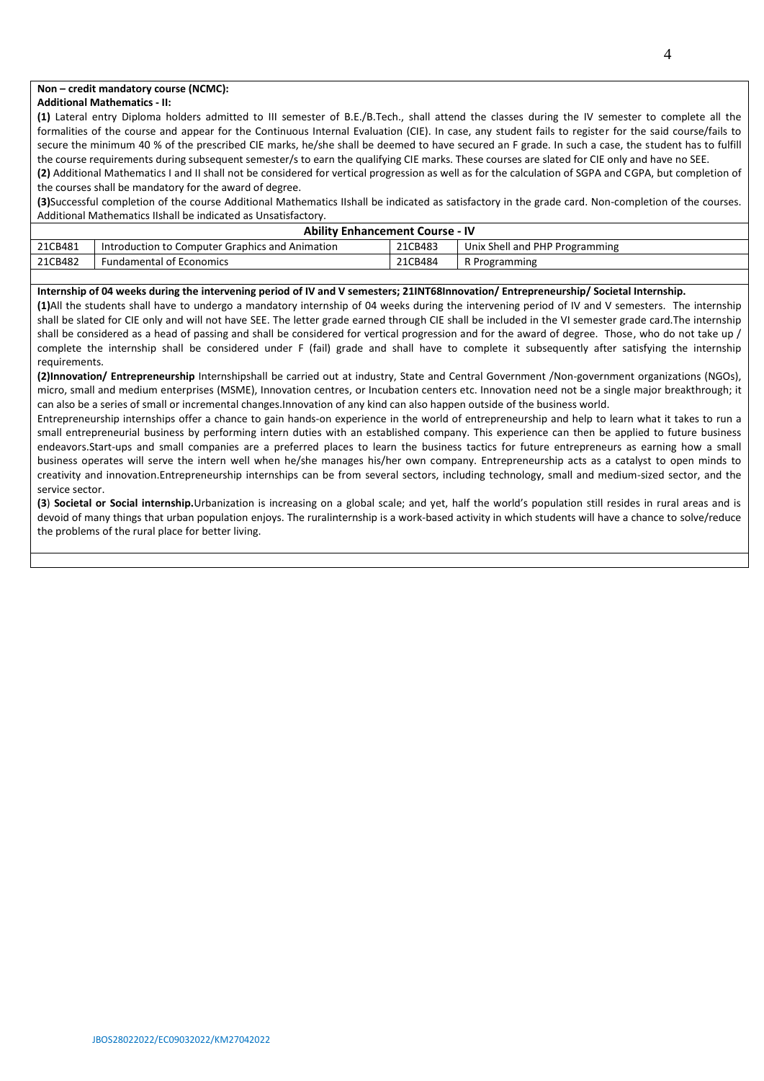## **Non – credit mandatory course (NCMC):**

#### **Additional Mathematics - II:**

**(1)** Lateral entry Diploma holders admitted to III semester of B.E./B.Tech., shall attend the classes during the IV semester to complete all the formalities of the course and appear for the Continuous Internal Evaluation (CIE). In case, any student fails to register for the said course/fails to secure the minimum 40 % of the prescribed CIE marks, he/she shall be deemed to have secured an F grade. In such a case, the student has to fulfill the course requirements during subsequent semester/s to earn the qualifying CIE marks. These courses are slated for CIE only and have no SEE.

**(2)** Additional Mathematics I and II shall not be considered for vertical progression as well as for the calculation of SGPA and CGPA, but completion of the courses shall be mandatory for the award of degree.

**(3)**Successful completion of the course Additional Mathematics IIshall be indicated as satisfactory in the grade card. Non-completion of the courses. Additional Mathematics IIshall be indicated as Unsatisfactory.

|         | <b>Ability Enhancement Course - IV</b>          |         |                                |  |  |  |  |  |  |  |  |
|---------|-------------------------------------------------|---------|--------------------------------|--|--|--|--|--|--|--|--|
| 21CB481 | Introduction to Computer Graphics and Animation | 21CB483 | Unix Shell and PHP Programming |  |  |  |  |  |  |  |  |
| 21CB482 | <b>Fundamental of Economics</b>                 | 21CB484 | R Programming                  |  |  |  |  |  |  |  |  |

#### **Internship of 04 weeks during the intervening period of IV and V semesters; 21INT68Innovation/ Entrepreneurship/ Societal Internship.**

**(1)**All the students shall have to undergo a mandatory internship of 04 weeks during the intervening period of IV and V semesters. The internship shall be slated for CIE only and will not have SEE. The letter grade earned through CIE shall be included in the VI semester grade card.The internship shall be considered as a head of passing and shall be considered for vertical progression and for the award of degree. Those, who do not take up / complete the internship shall be considered under F (fail) grade and shall have to complete it subsequently after satisfying the internship requirements.

**(2)Innovation/ Entrepreneurship** Internshipshall be carried out at industry, State and Central Government /Non-government organizations (NGOs), micro, small and medium enterprises (MSME), Innovation centres, or Incubation centers etc. Innovation need not be a single major breakthrough; it can also be a series of small or incremental changes.Innovation of any kind can also happen outside of the business world.

Entrepreneurship internships offer a chance to gain hands-on experience in the world of entrepreneurship and help to learn what it takes to run a small entrepreneurial business by performing intern duties with an established company. This experience can then be applied to future business endeavors.Start-ups and small companies are a preferred places to learn the business tactics for future entrepreneurs as earning how a small business operates will serve the intern well when he/she manages his/her own company. Entrepreneurship acts as a catalyst to open minds to creativity and innovation.Entrepreneurship internships can be from several sectors, including technology, small and medium-sized sector, and the service sector.

**(3**) **Societal or Social internship.**Urbanization is increasing on a global scale; and yet, half the world's population still resides in rural areas and is devoid of many things that urban population enjoys. The ruralinternship is a work-based activity in which students will have a chance to solve/reduce the problems of the rural place for better living.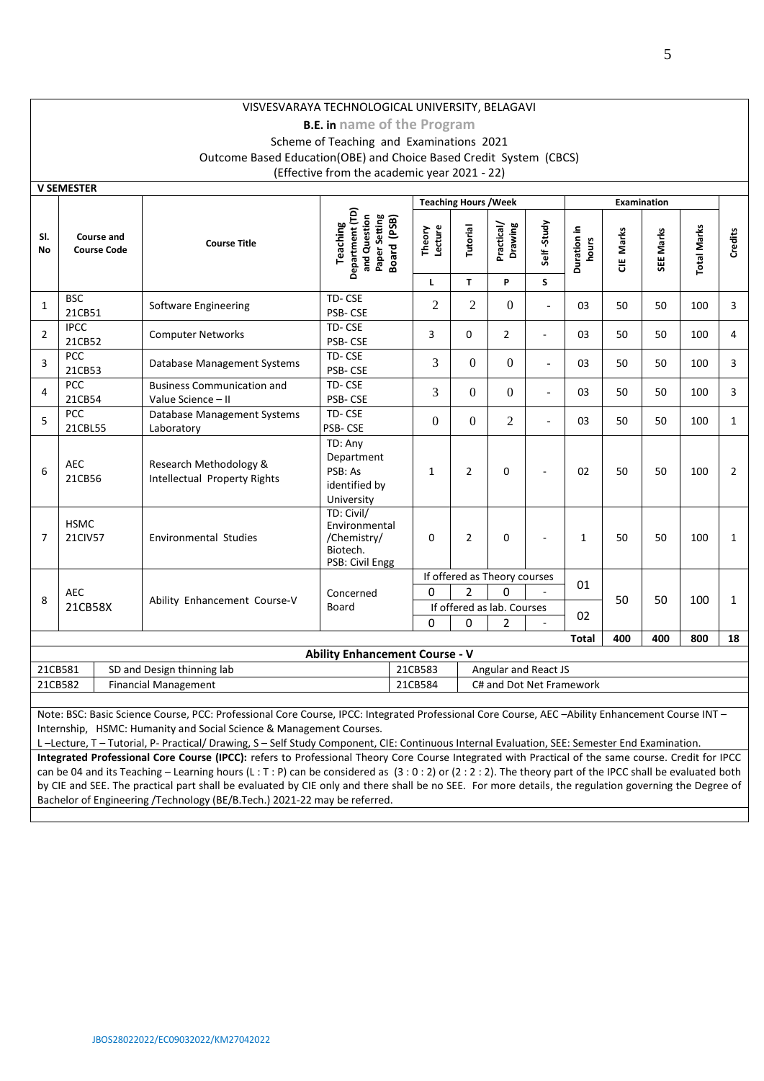# VISVESVARAYA TECHNOLOGICAL UNIVERSITY, BELAGAVI

## **B.E. in name of the Program** Scheme of Teaching and Examinations 2021 Outcome Based Education(OBE) and Choice Based Credit System (CBCS) (Effective from the academic year 2021 - 22)

|                  | <b>V SEMESTER</b>                |                                                         |                                                                             |                   |                              |                              |                          |                      |           |                    |                    |                |
|------------------|----------------------------------|---------------------------------------------------------|-----------------------------------------------------------------------------|-------------------|------------------------------|------------------------------|--------------------------|----------------------|-----------|--------------------|--------------------|----------------|
|                  |                                  |                                                         |                                                                             |                   | <b>Teaching Hours / Week</b> |                              |                          |                      |           | <b>Examination</b> |                    |                |
| SI.<br><b>No</b> | Course and<br><b>Course Code</b> | <b>Course Title</b>                                     | Department (TD)<br>and Question<br>Paper Setting<br>Board (PSB)<br>Teaching | Theory<br>Lecture | Tutorial                     | Practical/<br>Drawing        | Self-Study               | Duration in<br>hours | CIE Marks | SEE Marks          | <b>Total Marks</b> | Credits        |
|                  |                                  |                                                         |                                                                             | $\mathbf{L}$      | T.                           | P                            | S                        |                      |           |                    |                    |                |
| 1                | <b>BSC</b><br>21CB51             | Software Engineering                                    | TD-CSE<br><b>PSB-CSE</b>                                                    | $\overline{2}$    | $\overline{2}$               | $\mathbf{0}$                 | $\overline{\phantom{a}}$ | 03                   | 50        | 50                 | 100                | 3              |
| $\overline{2}$   | <b>IPCC</b><br>21CB52            | <b>Computer Networks</b>                                | TD-CSE<br>PSB-CSE                                                           | 3                 | $\Omega$                     | $\overline{2}$               | $\overline{\phantom{a}}$ | 03                   | 50        | 50                 | 100                | 4              |
| 3                | <b>PCC</b><br>21CB53             | Database Management Systems                             | TD-CSE<br>PSB-CSE                                                           | 3                 | $\Omega$                     | $\Omega$                     | $\overline{a}$           | 03                   | 50        | 50                 | 100                | 3              |
| 4                | <b>PCC</b><br>21CB54             | <b>Business Communication and</b><br>Value Science - II | TD-CSE<br>PSB-CSE                                                           | 3                 | $\overline{0}$               | $\mathbf{0}$                 | $\blacksquare$           | 03                   | 50        | 50                 | 100                | 3              |
| 5                | PCC<br>21CBL55                   | Database Management Systems<br>Laboratory               | TD-CSE<br>PSB-CSE                                                           | $\Omega$          | $\Omega$                     | 2                            | $\overline{\phantom{0}}$ | 03                   | 50        | 50                 | 100                | $\mathbf{1}$   |
| 6                | <b>AEC</b><br>21CB56             | Research Methodology &<br>Intellectual Property Rights  | TD: Any<br>Department<br>PSB: As<br>identified by<br>University             | $\mathbf{1}$      | $\overline{2}$               | $\mathbf 0$                  | $\sim$                   | 02                   | 50        | 50                 | 100                | $\overline{2}$ |
| $\overline{7}$   | <b>HSMC</b><br>21CIV57           | <b>Environmental Studies</b>                            | TD: Civil/<br>Environmental<br>/Chemistry/<br>Biotech.<br>PSB: Civil Engg   | $\Omega$          | $\overline{2}$               | $\mathbf 0$                  |                          | $\mathbf{1}$         | 50        | 50                 | 100                | $\mathbf{1}$   |
|                  |                                  |                                                         |                                                                             |                   |                              | If offered as Theory courses |                          |                      |           |                    |                    |                |
| 8                | <b>AEC</b>                       |                                                         | Concerned                                                                   | $\Omega$          | $\overline{2}$               | $\Omega$                     |                          | 01                   | 50        | 50                 | 100                |                |
|                  | 21CB58X                          | Ability Enhancement Course-V                            | Board                                                                       |                   |                              | If offered as lab. Courses   |                          | 02                   |           |                    |                    | $\mathbf{1}$   |
|                  |                                  |                                                         |                                                                             | $\Omega$          | $\Omega$                     | 2                            |                          |                      |           |                    |                    |                |
|                  |                                  |                                                         |                                                                             |                   |                              |                              |                          | <b>Total</b>         | 400       | 400                | 800                | 18             |
|                  |                                  |                                                         | <b>Ability Enhancement Course - V</b>                                       |                   |                              |                              |                          |                      |           |                    |                    |                |
| 21CB581          |                                  | SD and Design thinning lab                              |                                                                             | 21CB583           |                              | Angular and React JS         |                          |                      |           |                    |                    |                |
| 21CB582          |                                  | <b>Financial Management</b>                             |                                                                             | 21CB584           |                              | C# and Dot Net Framework     |                          |                      |           |                    |                    |                |

Note: BSC: Basic Science Course, PCC: Professional Core Course, IPCC: Integrated Professional Core Course, AEC –Ability Enhancement Course INT – Internship, HSMC: Humanity and Social Science & Management Courses.

L –Lecture, T – Tutorial, P- Practical/ Drawing, S – Self Study Component, CIE: Continuous Internal Evaluation, SEE: Semester End Examination.

**Integrated Professional Core Course (IPCC):** refers to Professional Theory Core Course Integrated with Practical of the same course. Credit for IPCC can be 04 and its Teaching – Learning hours (L : T : P) can be considered as (3 : 0 : 2) or (2 : 2 : 2). The theory part of the IPCC shall be evaluated both by CIE and SEE. The practical part shall be evaluated by CIE only and there shall be no SEE. For more details, the regulation governing the Degree of Bachelor of Engineering /Technology (BE/B.Tech.) 2021-22 may be referred.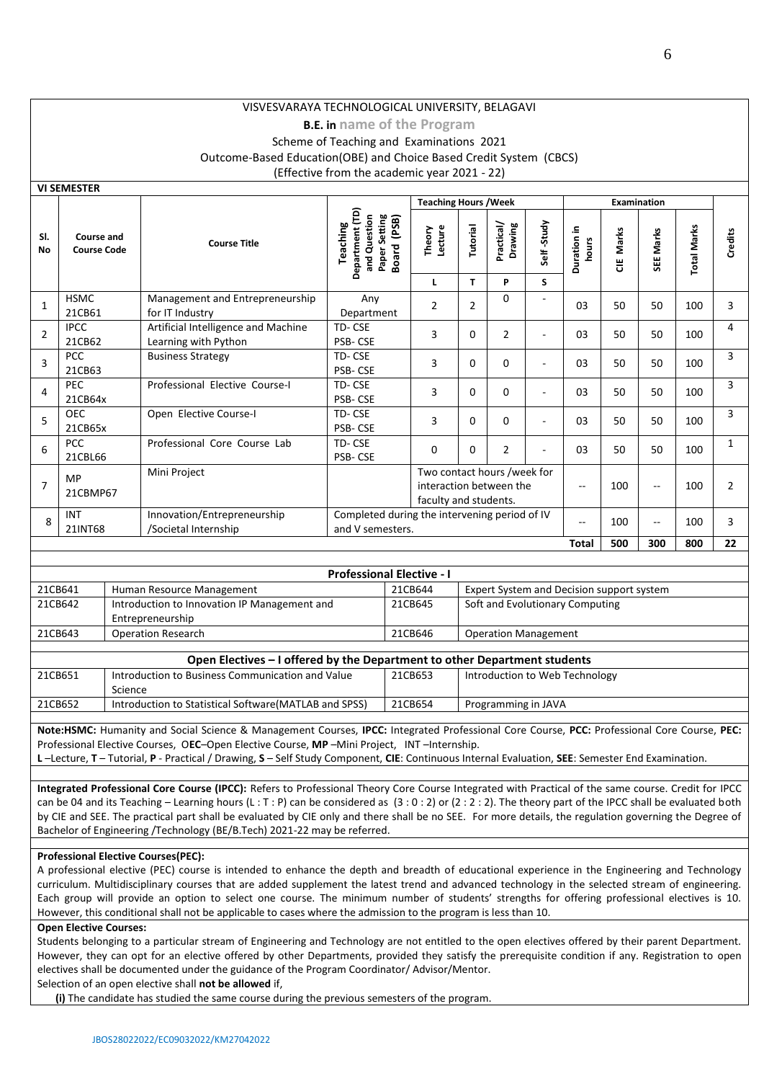# **B.E. in name of the Program** Scheme of Teaching and Examinations 2021

Outcome-Based Education(OBE) and Choice Based Credit System (CBCS)

(Effective from the academic year 2021 - 22)

|                  |                                  |                                                             |                                                                                             | <b>Teaching Hours / Week</b>                                                                                              |                |                       |                |                         | <b>Examination</b> |                          |                    |              |
|------------------|----------------------------------|-------------------------------------------------------------|---------------------------------------------------------------------------------------------|---------------------------------------------------------------------------------------------------------------------------|----------------|-----------------------|----------------|-------------------------|--------------------|--------------------------|--------------------|--------------|
| SI.<br><b>No</b> | Course and<br><b>Course Code</b> | <b>Course Title</b>                                         | Department (TD)<br>Paper Setting<br>Board (PSB)<br>and Question<br>Teaching<br><b>Board</b> | Lecture<br>Theory                                                                                                         | Tutorial       | Practical/<br>Drawing | Self-Study     | 크.<br>Duration<br>hours | Marks<br>ă         | SEE Marks                | <b>Total Marks</b> | Credits      |
|                  |                                  |                                                             |                                                                                             | L                                                                                                                         | T.             | P                     | S              |                         |                    |                          |                    |              |
| 1                | <b>HSMC</b><br>21CB61            | Management and Entrepreneurship<br>for IT Industry          | Any<br>Department                                                                           | $\overline{2}$                                                                                                            | $\overline{2}$ | $\Omega$              | ٠              | 03                      | 50                 | 50                       | 100                | 3            |
| $\overline{2}$   | <b>IPCC</b><br>21CB62            | Artificial Intelligence and Machine<br>Learning with Python | TD-CSE<br><b>PSB-CSE</b>                                                                    | 3                                                                                                                         | $\Omega$       | $\overline{2}$        | $\overline{a}$ | 03                      | 50                 | 50                       | 100                | 4            |
| 3                | <b>PCC</b><br>21CB63             | <b>Business Strategy</b>                                    | TD-CSE<br>PSB-CSE                                                                           | 3                                                                                                                         | 0              | $\Omega$              |                | 03                      | 50                 | 50                       | 100                | 3            |
| 4                | PEC<br>21CB64x                   | Professional Elective Course-I                              | TD-CSE<br><b>PSB-CSE</b>                                                                    | 3                                                                                                                         | $\Omega$       | $\Omega$              | ٠              | 03                      | 50                 | 50                       | 100                | 3            |
| 5                | <b>OEC</b><br>21CB65x            | Open Elective Course-I                                      | TD-CSE<br>PSB-CSE                                                                           | 3                                                                                                                         | $\mathbf{0}$   | $\mathbf 0$           |                | 03                      | 50                 | 50                       | 100                | 3            |
| 6                | PCC<br>21CBL66                   | Professional Core Course Lab                                | TD-CSE<br>PSB-CSE                                                                           | 0                                                                                                                         | 0              | $\overline{2}$        |                | 03                      | 50                 | 50                       | 100                | $\mathbf{1}$ |
| $\overline{7}$   | MP<br>21CBMP67                   | Mini Project                                                |                                                                                             | Two contact hours /week for<br>interaction between the<br>100<br>$\sim$ $\sim$<br>$\overline{a}$<br>faculty and students. |                |                       |                |                         |                    | 100                      | $\overline{2}$     |              |
| 8                | <b>INT</b><br>21INT68            | Innovation/Entrepreneurship<br>/Societal Internship         | Completed during the intervening period of IV<br>and V semesters.                           |                                                                                                                           |                |                       |                | $\overline{a}$          | 100                | $\overline{\phantom{a}}$ | 100                | 3            |
|                  |                                  |                                                             |                                                                                             |                                                                                                                           |                |                       |                | <b>Total</b>            | 500                | 300                      | 800                | 22           |
|                  |                                  |                                                             |                                                                                             |                                                                                                                           |                |                       |                |                         |                    |                          |                    |              |
|                  |                                  |                                                             | <b>Professional Elective - I</b>                                                            |                                                                                                                           |                |                       |                |                         |                    |                          |                    |              |

|         | <b>FIULESSIULIAI LIELLIVE - I</b>            |         |                                           |  |  |  |  |  |  |  |  |
|---------|----------------------------------------------|---------|-------------------------------------------|--|--|--|--|--|--|--|--|
| 21CB641 | Human Resource Management                    | 21CB644 | Expert System and Decision support system |  |  |  |  |  |  |  |  |
| 21CB642 | Introduction to Innovation IP Management and | 21CB645 | Soft and Evolutionary Computing           |  |  |  |  |  |  |  |  |
|         | Entrepreneurship                             |         |                                           |  |  |  |  |  |  |  |  |
| 21CB643 | <b>Operation Research</b>                    | 21CB646 | <b>Operation Management</b>               |  |  |  |  |  |  |  |  |

|         | Open Electives – I offered by the Department to other Department students |         |                                |  |  |  |  |  |  |  |  |
|---------|---------------------------------------------------------------------------|---------|--------------------------------|--|--|--|--|--|--|--|--|
| 21CB651 | Introduction to Business Communication and Value                          | 21CB653 | Introduction to Web Technology |  |  |  |  |  |  |  |  |
|         | Science                                                                   |         |                                |  |  |  |  |  |  |  |  |
| 21CB652 | Introduction to Statistical Software (MATLAB and SPSS)                    | 21CB654 | Programming in JAVA            |  |  |  |  |  |  |  |  |
|         |                                                                           |         |                                |  |  |  |  |  |  |  |  |

**Note:HSMC:** Humanity and Social Science & Management Courses, **IPCC:** Integrated Professional Core Course, **PCC:** Professional Core Course, **PEC:** Professional Elective Courses, O**EC**–Open Elective Course, **MP** –Mini Project, INT –Internship.

**L** –Lecture, **T** – Tutorial, **P** - Practical / Drawing, **S** – Self Study Component, **CIE**: Continuous Internal Evaluation, **SEE**: Semester End Examination.

**Integrated Professional Core Course (IPCC):** Refers to Professional Theory Core Course Integrated with Practical of the same course. Credit for IPCC can be 04 and its Teaching – Learning hours (L: T: P) can be considered as  $(3:0:2)$  or  $(2:2:2)$ . The theory part of the IPCC shall be evaluated both by CIE and SEE. The practical part shall be evaluated by CIE only and there shall be no SEE. For more details, the regulation governing the Degree of Bachelor of Engineering /Technology (BE/B.Tech) 2021-22 may be referred.

#### **Professional Elective Courses(PEC):**

A professional elective (PEC) course is intended to enhance the depth and breadth of educational experience in the Engineering and Technology curriculum. Multidisciplinary courses that are added supplement the latest trend and advanced technology in the selected stream of engineering. Each group will provide an option to select one course. The minimum number of students' strengths for offering professional electives is 10. However, this conditional shall not be applicable to cases where the admission to the program is less than 10.

#### **Open Elective Courses:**

**VI SEMESTER**

Students belonging to a particular stream of Engineering and Technology are not entitled to the open electives offered by their parent Department. However, they can opt for an elective offered by other Departments, provided they satisfy the prerequisite condition if any. Registration to open electives shall be documented under the guidance of the Program Coordinator/ Advisor/Mentor.

Selection of an open elective shall **not be allowed** if,

**(i)** The candidate has studied the same course during the previous semesters of the program.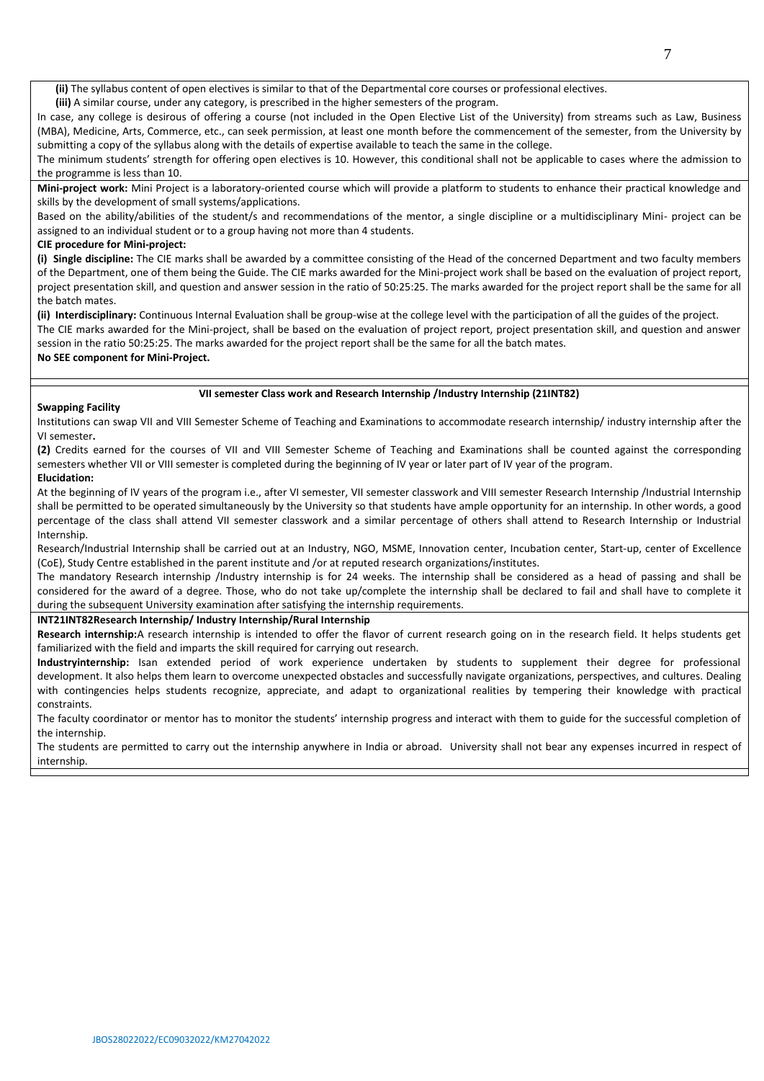**(ii)** The syllabus content of open electives is similar to that of the Departmental core courses or professional electives.

**(iii)** A similar course, under any category, is prescribed in the higher semesters of the program.

In case, any college is desirous of offering a course (not included in the Open Elective List of the University) from streams such as Law, Business (MBA), Medicine, Arts, Commerce, etc., can seek permission, at least one month before the commencement of the semester, from the University by submitting a copy of the syllabus along with the details of expertise available to teach the same in the college.

The minimum students' strength for offering open electives is 10. However, this conditional shall not be applicable to cases where the admission to the programme is less than 10.

**Mini-project work:** Mini Project is a laboratory-oriented course which will provide a platform to students to enhance their practical knowledge and skills by the development of small systems/applications.

Based on the ability/abilities of the student/s and recommendations of the mentor, a single discipline or a multidisciplinary Mini- project can be assigned to an individual student or to a group having not more than 4 students.

## **CIE procedure for Mini-project:**

**(i) Single discipline:** The CIE marks shall be awarded by a committee consisting of the Head of the concerned Department and two faculty members of the Department, one of them being the Guide. The CIE marks awarded for the Mini-project work shall be based on the evaluation of project report, project presentation skill, and question and answer session in the ratio of 50:25:25. The marks awarded for the project report shall be the same for all the batch mates.

**(ii) Interdisciplinary:** Continuous Internal Evaluation shall be group-wise at the college level with the participation of all the guides of the project. The CIE marks awarded for the Mini-project, shall be based on the evaluation of project report, project presentation skill, and question and answer

session in the ratio 50:25:25. The marks awarded for the project report shall be the same for all the batch mates.

**No SEE component for Mini-Project.**

#### **VII semester Class work and Research Internship /Industry Internship (21INT82)**

#### **Swapping Facility**

Institutions can swap VII and VIII Semester Scheme of Teaching and Examinations to accommodate research internship/ industry internship after the VI semester**.** 

**(2)** Credits earned for the courses of VII and VIII Semester Scheme of Teaching and Examinations shall be counted against the corresponding semesters whether VII or VIII semester is completed during the beginning of IV year or later part of IV year of the program.

#### **Elucidation:**

At the beginning of IV years of the program i.e., after VI semester, VII semester classwork and VIII semester Research Internship /Industrial Internship shall be permitted to be operated simultaneously by the University so that students have ample opportunity for an internship. In other words, a good percentage of the class shall attend VII semester classwork and a similar percentage of others shall attend to Research Internship or Industrial Internship.

Research/Industrial Internship shall be carried out at an Industry, NGO, MSME, Innovation center, Incubation center, Start-up, center of Excellence (CoE), Study Centre established in the parent institute and /or at reputed research organizations/institutes.

The mandatory Research internship /Industry internship is for 24 weeks. The internship shall be considered as a head of passing and shall be considered for the award of a degree. Those, who do not take up/complete the internship shall be declared to fail and shall have to complete it during the subsequent University examination after satisfying the internship requirements.

### **INT21INT82Research Internship/ Industry Internship/Rural Internship**

Research internship:A research internship is intended to offer the flavor of current research going on in the research field. It helps students get familiarized with the field and imparts the skill required for carrying out research.

**Industryinternship:** Isan extended period of work experience undertaken by students to supplement their degree for professional development. It also helps them learn to overcome unexpected obstacles and successfully navigate organizations, perspectives, and cultures. Dealing with contingencies helps students recognize, appreciate, and adapt to organizational realities by tempering their knowledge with practical constraints.

The faculty coordinator or mentor has to monitor the students' internship progress and interact with them to guide for the successful completion of the internship.

The students are permitted to carry out the internship anywhere in India or abroad. University shall not bear any expenses incurred in respect of internship.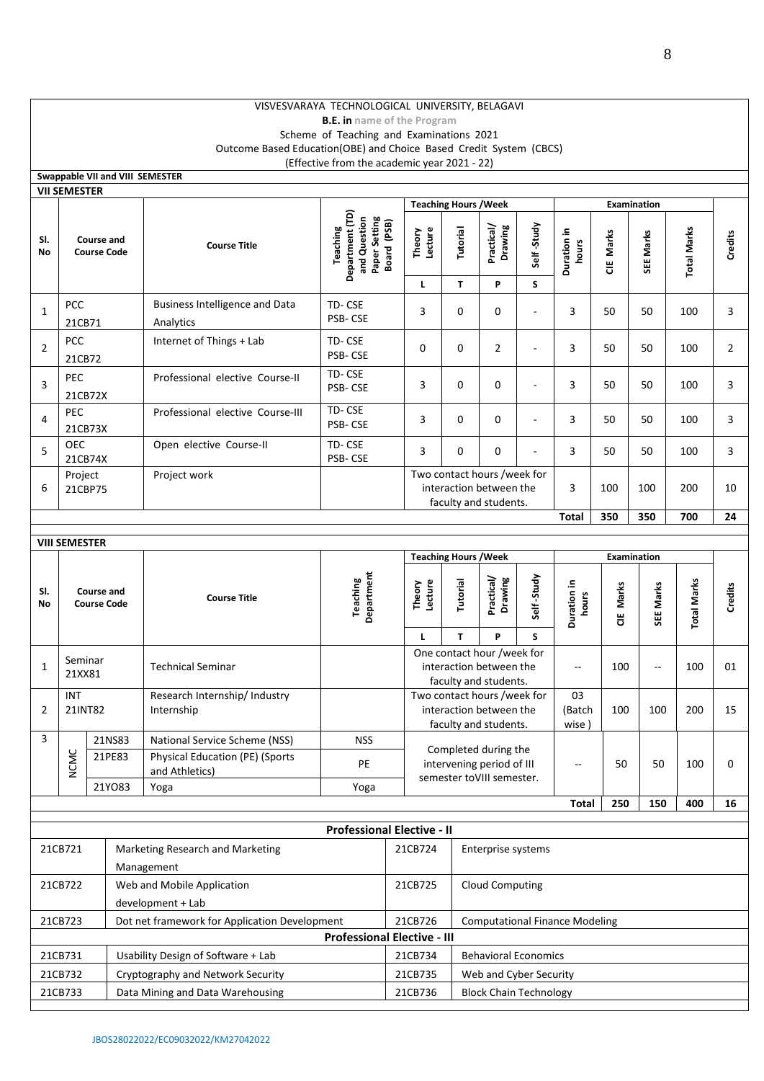# VISVESVARAYA TECHNOLOGICAL UNIVERSITY, BELAGAVI

**B.E. in name of the Program**

Scheme of Teaching and Examinations 2021 Outcome Based Education(OBE) and Choice Based Credit System (CBCS) (Effective from the academic year 2021 - 22)

|                | Swappable VII and VIII SEMESTER                        |                                  |                                                |                                                          |                                                                             |                   |                                                                                 |                                                                                 |                      |                       |           |                    |                    |                |
|----------------|--------------------------------------------------------|----------------------------------|------------------------------------------------|----------------------------------------------------------|-----------------------------------------------------------------------------|-------------------|---------------------------------------------------------------------------------|---------------------------------------------------------------------------------|----------------------|-----------------------|-----------|--------------------|--------------------|----------------|
|                | <b>VII SEMESTER</b>                                    |                                  |                                                |                                                          |                                                                             |                   |                                                                                 |                                                                                 |                      |                       |           |                    |                    |                |
|                |                                                        |                                  |                                                |                                                          |                                                                             |                   |                                                                                 | <b>Teaching Hours / Week</b>                                                    |                      |                       |           | Examination        |                    |                |
| SI.<br>No      |                                                        | Course and<br><b>Course Code</b> |                                                | <b>Course Title</b>                                      | Department (TD)<br>Paper Setting<br>and Question<br>Board (PSB)<br>Teaching | Theory<br>Lecture | Tutorial                                                                        | Practical/<br>Drawing                                                           | Self-Study           | Duration in<br>hours  | CIE Marks | SEE Marks          | <b>Total Marks</b> | Credits        |
|                |                                                        |                                  |                                                |                                                          |                                                                             | Г                 | T.                                                                              | P                                                                               | S                    |                       |           |                    |                    |                |
| $\mathbf{1}$   | PCC<br>21CB71                                          |                                  |                                                | <b>Business Intelligence and Data</b><br>Analytics       | TD-CSE<br>PSB-CSE                                                           | 3                 | 0                                                                               | 0                                                                               | ÷,                   | 3                     | 50        | 50                 | 100                | 3              |
| 2              | <b>PCC</b><br>21CB72                                   |                                  |                                                | Internet of Things + Lab                                 | TD-CSE<br>PSB-CSE                                                           | 0                 | 0                                                                               | $\overline{2}$                                                                  | ٠                    | 3                     | 50        | 50                 | 100                | $\overline{2}$ |
| 3              | PEC                                                    | 21CB72X                          |                                                | Professional elective Course-II                          | TD-CSE<br>PSB-CSE                                                           | 3                 | 0                                                                               | 0                                                                               |                      | 3                     | 50        | 50                 | 100                | 3              |
| 4              | PEC                                                    | 21CB73X                          |                                                | Professional elective Course-III                         | TD-CSE<br>PSB-CSE                                                           | 3                 | 0<br>$\mathbf 0$<br>÷,                                                          |                                                                                 |                      | 3                     | 50        | 50                 | 100                | 3              |
| 5              | <b>OEC</b>                                             | 21CB74X                          |                                                | Open elective Course-II                                  | TD-CSE<br>PSB-CSE                                                           | 3                 | 0<br>0<br>٠                                                                     |                                                                                 | 3                    | 50                    | 50        | 100                | 3                  |                |
| 6              | Project                                                | 21CBP75                          |                                                | Project work                                             |                                                                             |                   | Two contact hours /week for<br>interaction between the<br>faculty and students. |                                                                                 |                      | 3                     | 100       | 100                | 200                | 10             |
|                |                                                        |                                  |                                                |                                                          |                                                                             |                   |                                                                                 |                                                                                 |                      | <b>Total</b>          | 350       | 350                | 700                | 24             |
|                | <b>VIII SEMESTER</b>                                   |                                  |                                                |                                                          |                                                                             |                   |                                                                                 |                                                                                 |                      |                       |           |                    |                    |                |
|                |                                                        |                                  |                                                |                                                          |                                                                             |                   |                                                                                 | <b>Teaching Hours /Week</b>                                                     |                      |                       |           | <b>Examination</b> |                    |                |
| SI.<br>No      |                                                        | Course and<br><b>Course Code</b> |                                                | <b>Course Title</b>                                      | Department<br>Teaching                                                      | Theory<br>Lecture | Self-Study<br>Practical/<br>Drawing<br>Tutorial                                 |                                                                                 | Duration in<br>hours | CIE Marks             | SEE Marks | <b>Total Marks</b> | Credits            |                |
|                |                                                        |                                  |                                                |                                                          |                                                                             | L                 | T.                                                                              | P<br>S.                                                                         |                      |                       |           |                    |                    |                |
| 1              | 21XX81                                                 | Seminar                          |                                                | <b>Technical Seminar</b>                                 |                                                                             |                   |                                                                                 | One contact hour /week for<br>interaction between the<br>faculty and students.  |                      | $-$                   | 100       | $\ddotsc$          | 100                | 01             |
| $\overline{2}$ | <b>INT</b>                                             | 21INT82                          |                                                | Research Internship/ Industry<br>Internship              |                                                                             |                   |                                                                                 | Two contact hours /week for<br>interaction between the<br>faculty and students. |                      | 03<br>(Batch<br>wise) | 100       | 100                | 200                | 15             |
| 3              |                                                        | 21NS83                           |                                                | National Service Scheme (NSS)                            | <b>NSS</b>                                                                  |                   |                                                                                 |                                                                                 |                      |                       |           |                    |                    |                |
|                | <b>NCMC</b>                                            | 21PE83                           |                                                | <b>Physical Education (PE) (Sports</b><br>and Athletics) | PE                                                                          |                   |                                                                                 | Completed during the<br>intervening period of III<br>semester toVIII semester.  |                      | $-\!$ –               | 50        | 50                 | 100                | 0              |
|                |                                                        | 21YO83                           |                                                | Yoga                                                     | Yoga                                                                        |                   |                                                                                 |                                                                                 |                      |                       |           |                    |                    |                |
|                |                                                        |                                  |                                                |                                                          |                                                                             |                   |                                                                                 |                                                                                 |                      | Total                 | 250       | 150                | 400                | 16             |
|                |                                                        |                                  |                                                |                                                          | <b>Professional Elective - II</b>                                           |                   |                                                                                 |                                                                                 |                      |                       |           |                    |                    |                |
|                | 21CB721                                                |                                  | Marketing Research and Marketing<br>Management |                                                          |                                                                             | 21CB724           |                                                                                 | Enterprise systems                                                              |                      |                       |           |                    |                    |                |
|                | 21CB722                                                |                                  |                                                | Web and Mobile Application<br>development + Lab          |                                                                             | 21CB725           |                                                                                 | <b>Cloud Computing</b>                                                          |                      |                       |           |                    |                    |                |
|                | 21CB723                                                |                                  |                                                | Dot net framework for Application Development            |                                                                             | 21CB726           |                                                                                 | <b>Computational Finance Modeling</b>                                           |                      |                       |           |                    |                    |                |
|                |                                                        |                                  |                                                |                                                          | <b>Professional Elective - III</b>                                          |                   |                                                                                 |                                                                                 |                      |                       |           |                    |                    |                |
|                | 21CB731                                                |                                  |                                                | Usability Design of Software + Lab                       |                                                                             | 21CB734           |                                                                                 | <b>Behavioral Economics</b>                                                     |                      |                       |           |                    |                    |                |
|                |                                                        |                                  |                                                | Cryptography and Network Security                        |                                                                             | 21CB735           |                                                                                 | Web and Cyber Security                                                          |                      |                       |           |                    |                    |                |
|                | 21CB732<br>21CB733<br>Data Mining and Data Warehousing |                                  |                                                |                                                          |                                                                             | 21CB736           |                                                                                 | <b>Block Chain Technology</b>                                                   |                      |                       |           |                    |                    |                |